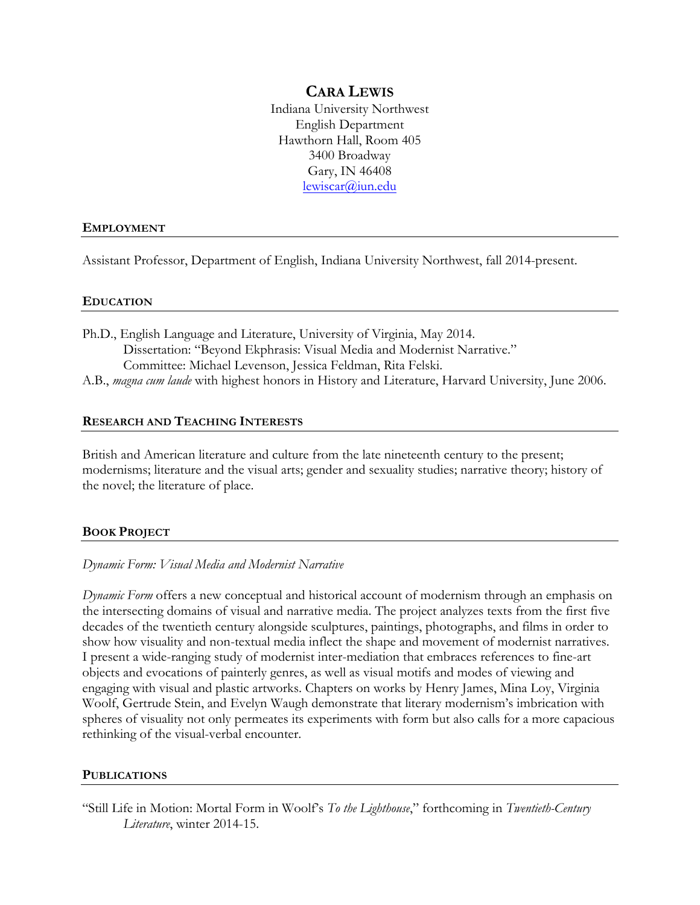# **CARA LEWIS**

Indiana University Northwest English Department Hawthorn Hall, Room 405 3400 Broadway Gary, IN 46408 lewiscar@iun.edu

### **EMPLOYMENT**

Assistant Professor, Department of English, Indiana University Northwest, fall 2014-present.

## **EDUCATION**

Ph.D., English Language and Literature, University of Virginia, May 2014. Dissertation: "Beyond Ekphrasis: Visual Media and Modernist Narrative." Committee: Michael Levenson, Jessica Feldman, Rita Felski. A.B., *magna cum laude* with highest honors in History and Literature, Harvard University, June 2006.

## **RESEARCH AND TEACHING INTERESTS**

British and American literature and culture from the late nineteenth century to the present; modernisms; literature and the visual arts; gender and sexuality studies; narrative theory; history of the novel; the literature of place.

# **BOOK PROJECT**

### *Dynamic Form: Visual Media and Modernist Narrative*

*Dynamic Form* offers a new conceptual and historical account of modernism through an emphasis on the intersecting domains of visual and narrative media. The project analyzes texts from the first five decades of the twentieth century alongside sculptures, paintings, photographs, and films in order to show how visuality and non-textual media inflect the shape and movement of modernist narratives. I present a wide-ranging study of modernist inter-mediation that embraces references to fine-art objects and evocations of painterly genres, as well as visual motifs and modes of viewing and engaging with visual and plastic artworks. Chapters on works by Henry James, Mina Loy, Virginia Woolf, Gertrude Stein, and Evelyn Waugh demonstrate that literary modernism's imbrication with spheres of visuality not only permeates its experiments with form but also calls for a more capacious rethinking of the visual-verbal encounter.

### **PUBLICATIONS**

"Still Life in Motion: Mortal Form in Woolf's *To the Lighthouse*," forthcoming in *Twentieth-Century Literature*, winter 2014-15.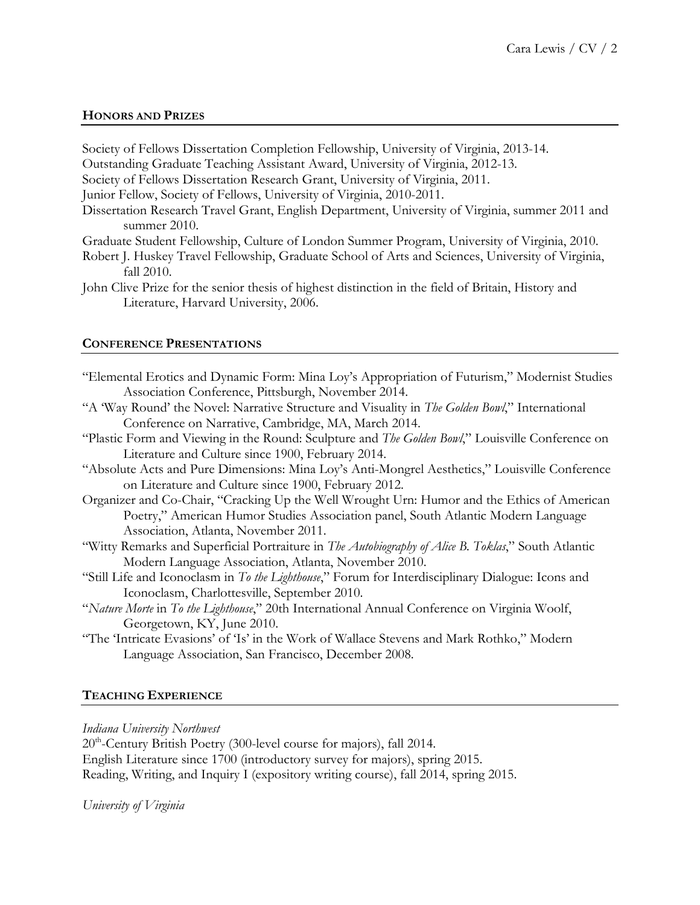## **HONORS AND PRIZES**

Society of Fellows Dissertation Completion Fellowship, University of Virginia, 2013-14. Outstanding Graduate Teaching Assistant Award, University of Virginia, 2012-13.

Society of Fellows Dissertation Research Grant, University of Virginia, 2011.

Junior Fellow, Society of Fellows, University of Virginia, 2010-2011.

- Dissertation Research Travel Grant, English Department, University of Virginia, summer 2011 and summer 2010.
- Graduate Student Fellowship, Culture of London Summer Program, University of Virginia, 2010.
- Robert J. Huskey Travel Fellowship, Graduate School of Arts and Sciences, University of Virginia, fall 2010.
- John Clive Prize for the senior thesis of highest distinction in the field of Britain, History and Literature, Harvard University, 2006.

### **CONFERENCE PRESENTATIONS**

"The 'Intricate Evasions' of 'Is' in the Work of Wallace Stevens and Mark Rothko," Modern Language Association, San Francisco, December 2008.

# **TEACHING EXPERIENCE**

## *Indiana University Northwest*

20<sup>th</sup>-Century British Poetry (300-level course for majors), fall 2014. English Literature since 1700 (introductory survey for majors), spring 2015. Reading, Writing, and Inquiry I (expository writing course), fall 2014, spring 2015.

### *University of Virginia*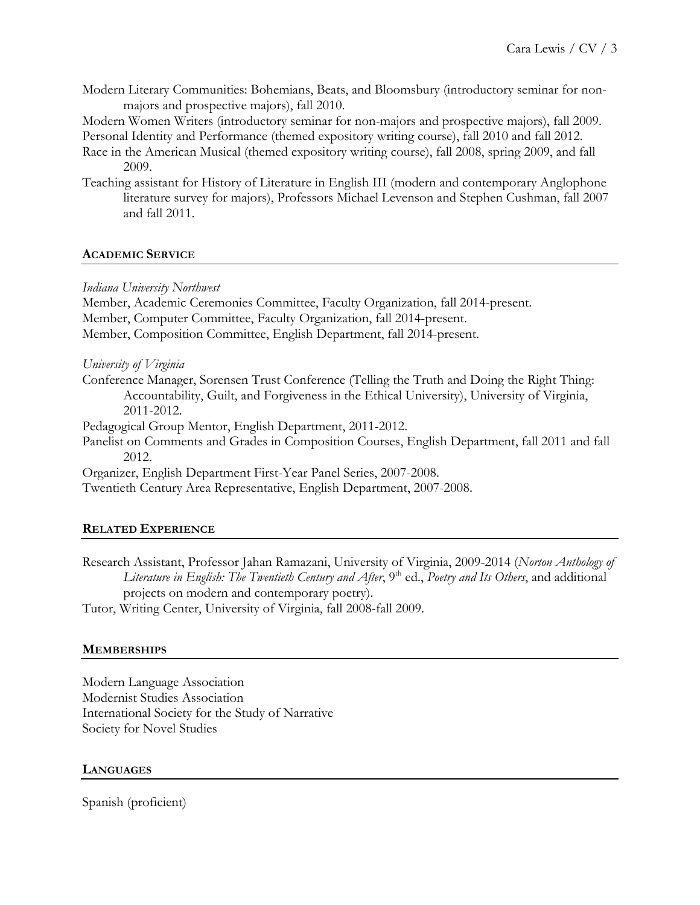Modern Literary Communities: Bohemians, Beats, and Bloomsbury (introductory seminar for nonmajors and prospective majors), fall 2010.

Modern Women Writers (introductory seminar for non-majors and prospective majors), fall 2009.

Personal Identity and Performance (themed expository writing course), fall 2010 and fall 2012.

- Race in the American Musical (themed expository writing course), fall 2008, spring 2009, and fall 2009.
- Teaching assistant for History of Literature in English III (modern and contemporary Anglophone literature survey for majors), Professors Michael Levenson and Stephen Cushman, fall 2007 and fall 2011.

# **ACADEMIC SERVICE**

# *Indiana University Northwest*

Member, Academic Ceremonies Committee, Faculty Organization, fall 2014-present. Member, Computer Committee, Faculty Organization, fall 2014-present. Member, Composition Committee, English Department, fall 2014-present.

# *University of Virginia*

Conference Manager, Sorensen Trust Conference (Telling the Truth and Doing the Right Thing: Accountability, Guilt, and Forgiveness in the Ethical University), University of Virginia, 2011-2012.

Pedagogical Group Mentor, English Department, 2011-2012.

Panelist on Comments and Grades in Composition Courses, English Department, fall 2011 and fall 2012.

Organizer, English Department First-Year Panel Series, 2007-2008.

Twentieth Century Area Representative, English Department, 2007-2008.

# **RELATED EXPERIENCE**

Research Assistant, Professor Jahan Ramazani, University of Virginia, 2009-2014 (*Norton Anthology of*  Literature in English: The Twentieth Century and After, 9<sup>th</sup> ed., *Poetry and Its Others*, and additional projects on modern and contemporary poetry).

Tutor, Writing Center, University of Virginia, fall 2008-fall 2009.

# **MEMBERSHIPS**

Modern Language Association Modernist Studies Association International Society for the Study of Narrative Society for Novel Studies

# **LANGUAGES**

Spanish (proficient)